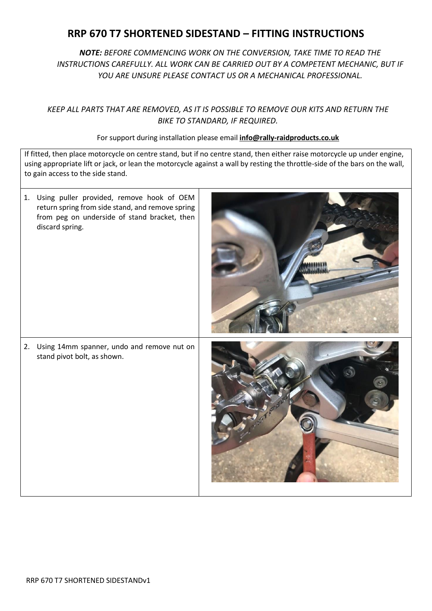## **RRP 670 T7 SHORTENED SIDESTAND – FITTING INSTRUCTIONS**

*NOTE: BEFORE COMMENCING WORK ON THE CONVERSION, TAKE TIME TO READ THE INSTRUCTIONS CAREFULLY. ALL WORK CAN BE CARRIED OUT BY A COMPETENT MECHANIC, BUT IF YOU ARE UNSURE PLEASE CONTACT US OR A MECHANICAL PROFESSIONAL.*

## *KEEP ALL PARTS THAT ARE REMOVED, AS IT IS POSSIBLE TO REMOVE OUR KITS AND RETURN THE BIKE TO STANDARD, IF REQUIRED.*

## For support during installation please email **info@rally-raidproducts.co.uk**

If fitted, then place motorcycle on centre stand, but if no centre stand, then either raise motorcycle up under engine, using appropriate lift or jack, or lean the motorcycle against a wall by resting the throttle-side of the bars on the wall, to gain access to the side stand.

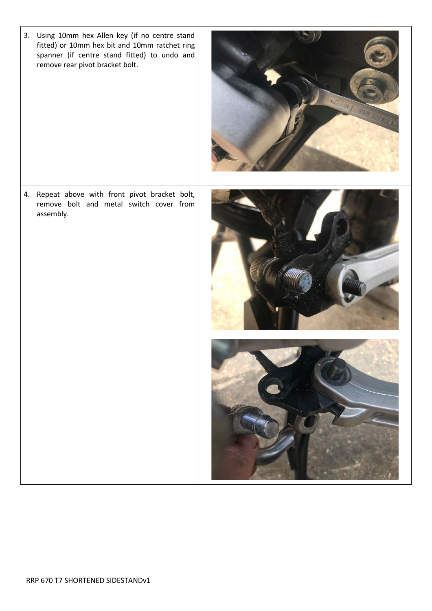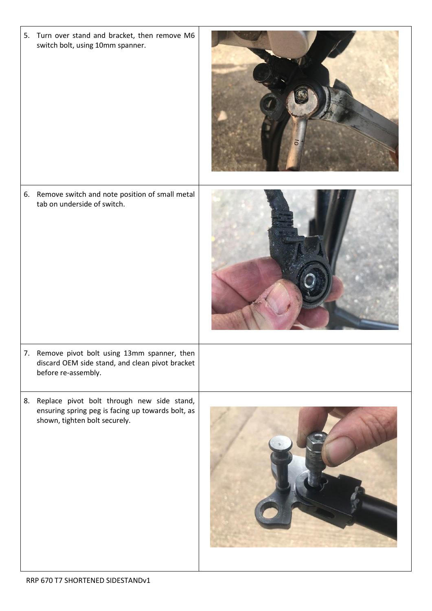| 5. Turn over stand and bracket, then remove M6<br>switch bolt, using 10mm spanner.                                                  |  |
|-------------------------------------------------------------------------------------------------------------------------------------|--|
| 6. Remove switch and note position of small metal<br>tab on underside of switch.                                                    |  |
| 7. Remove pivot bolt using 13mm spanner, then<br>discard OEM side stand, and clean pivot bracket<br>before re-assembly.             |  |
| 8. Replace pivot bolt through new side stand,<br>ensuring spring peg is facing up towards bolt, as<br>shown, tighten bolt securely. |  |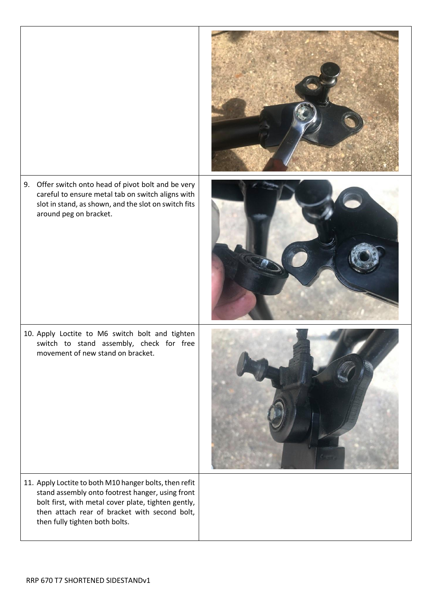